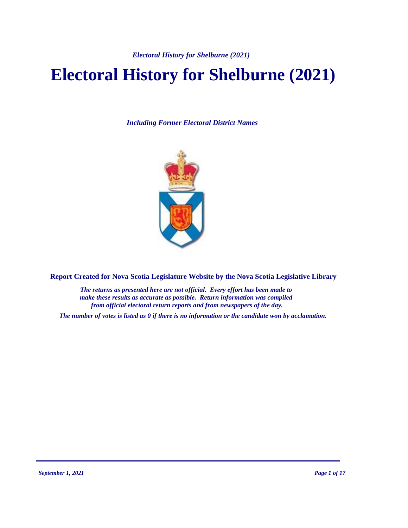*Electoral History for Shelburne (2021)*

# **Electoral History for Shelburne (2021)**

*Including Former Electoral District Names*



**Report Created for Nova Scotia Legislature Website by the Nova Scotia Legislative Library**

*The returns as presented here are not official. Every effort has been made to make these results as accurate as possible. Return information was compiled from official electoral return reports and from newspapers of the day.*

*The number of votes is listed as 0 if there is no information or the candidate won by acclamation.*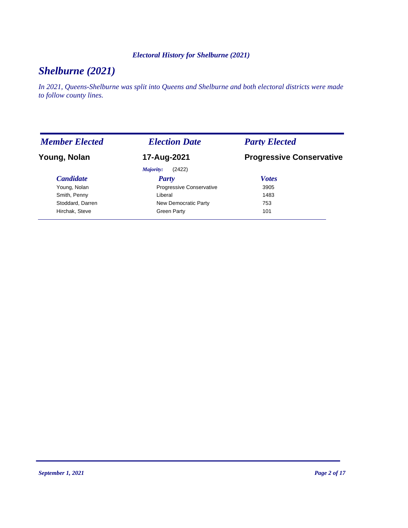#### *Electoral History for Shelburne (2021)*

# *Shelburne (2021)*

*In 2021, Queens-Shelburne was split into Queens and Shelburne and both electoral districts were made to follow county lines.*

| <b>Member Elected</b> | <b>Election Date</b>     | <b>Party Elected</b>            |
|-----------------------|--------------------------|---------------------------------|
| Young, Nolan          | 17-Aug-2021              | <b>Progressive Conservative</b> |
|                       | (2422)<br>Majority:      |                                 |
| <b>Candidate</b>      | <b>Party</b>             | <b>Votes</b>                    |
| Young, Nolan          | Progressive Conservative | 3905                            |
| Smith, Penny          | Liberal                  | 1483                            |
| Stoddard, Darren      | New Democratic Party     | 753                             |
| Hirchak, Steve        | Green Party              | 101                             |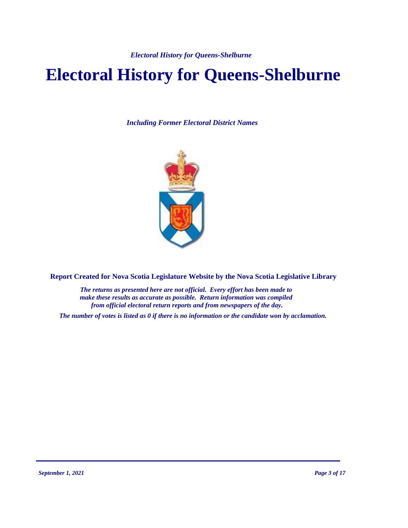*Electoral History for Queens-Shelburne*

# **Electoral History for Queens-Shelburne**

*Including Former Electoral District Names*



**Report Created for Nova Scotia Legislature Website by the Nova Scotia Legislative Library**

*The returns as presented here are not official. Every effort has been made to make these results as accurate as possible. Return information was compiled from official electoral return reports and from newspapers of the day.*

*The number of votes is listed as 0 if there is no information or the candidate won by acclamation.*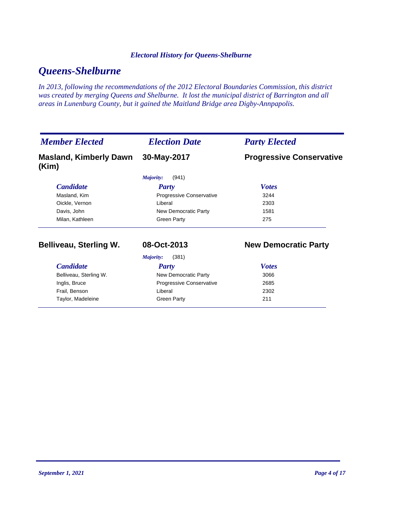#### *Electoral History for Queens-Shelburne*

# *Queens-Shelburne*

*In 2013, following the recommendations of the 2012 Electoral Boundaries Commission, this district was created by merging Queens and Shelburne. It lost the municipal district of Barrington and all areas in Lunenburg County, but it gained the Maitland Bridge area Digby-Annpapolis.*

| <b>Member Elected</b>                  | <b>Election Date</b>            | <b>Party Elected</b>            |
|----------------------------------------|---------------------------------|---------------------------------|
| <b>Masland, Kimberly Dawn</b><br>(Kim) | 30-May-2017                     | <b>Progressive Conservative</b> |
|                                        | Majority:<br>(941)              |                                 |
| <b>Candidate</b>                       | <b>Party</b>                    | <b>Votes</b>                    |
| Masland, Kim                           | <b>Progressive Conservative</b> | 3244                            |
| Oickle, Vernon                         | Liberal                         | 2303                            |
| Davis, John                            | New Democratic Party            | 1581                            |
| Milan, Kathleen                        | <b>Green Party</b>              | 275                             |
| <b>Belliveau, Sterling W.</b>          | 08-Oct-2013                     | <b>New Democratic Party</b>     |
|                                        | (381)<br>Majority:              |                                 |
| <b>Candidate</b>                       | <b>Party</b>                    | <b>Votes</b>                    |
| Belliveau, Sterling W.                 | New Democratic Party            | 3066                            |
| Inglis, Bruce                          | Progressive Conservative        | 2685                            |
| Frail, Benson                          | Liberal                         | 2302                            |
| Taylor, Madeleine                      | <b>Green Party</b>              | 211                             |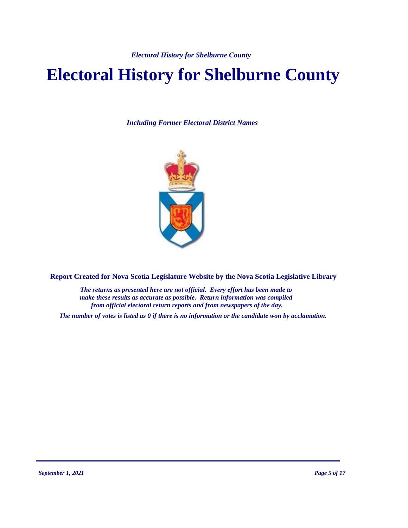# **Electoral History for Shelburne County**

*Including Former Electoral District Names*



**Report Created for Nova Scotia Legislature Website by the Nova Scotia Legislative Library**

*The returns as presented here are not official. Every effort has been made to make these results as accurate as possible. Return information was compiled from official electoral return reports and from newspapers of the day.*

*The number of votes is listed as 0 if there is no information or the candidate won by acclamation.*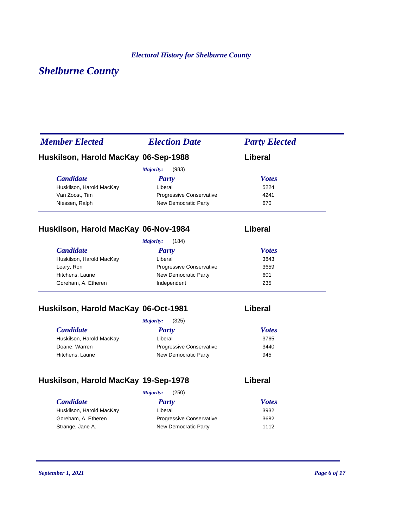# *Shelburne County*

| <b>Member Elected</b>                | <b>Election Date</b>     | <b>Party Elected</b> |
|--------------------------------------|--------------------------|----------------------|
| Huskilson, Harold MacKay 06-Sep-1988 |                          | Liberal              |
|                                      | Majority:<br>(983)       |                      |
| <b>Candidate</b>                     | Party                    | <b>Votes</b>         |
| Huskilson, Harold MacKay             | Liberal                  | 5224                 |
| Van Zoost, Tim                       | Progressive Conservative | 4241                 |
| Niessen, Ralph                       | New Democratic Party     | 670                  |
| Huskilson, Harold MacKay 06-Nov-1984 |                          | Liberal              |
|                                      | Majority:<br>(184)       |                      |
| <b>Candidate</b>                     | <b>Party</b>             | <b>Votes</b>         |
| Huskilson. Harold MacKav             | I iberal                 | 3843                 |

| Huskilson, Harold MacKay | Liberal                         | 3843 |  |
|--------------------------|---------------------------------|------|--|
| Leary, Ron               | <b>Progressive Conservative</b> | 3659 |  |
| Hitchens, Laurie         | New Democratic Party            | 601  |  |
| Goreham, A. Etheren      | Independent                     | 235  |  |

## **Huskilson, Harold MacKay 06-Oct-1981 Liberal**

| (325)<br>Majority:              |              |
|---------------------------------|--------------|
| <b>Party</b>                    | <b>Votes</b> |
| Liberal                         | 3765         |
| <b>Progressive Conservative</b> | 3440         |
| New Democratic Party            | 945          |
|                                 |              |

# **Huskilson, Harold MacKay 19-Sep-1978 Liberal**

|                          | (250)<br>Majority:              |              |
|--------------------------|---------------------------------|--------------|
| <i>Candidate</i>         | Party                           | <b>Votes</b> |
| Huskilson, Harold MacKay | Liberal                         | 3932         |
| Goreham, A. Etheren      | <b>Progressive Conservative</b> | 3682         |
| Strange, Jane A.         | New Democratic Party            | 1112         |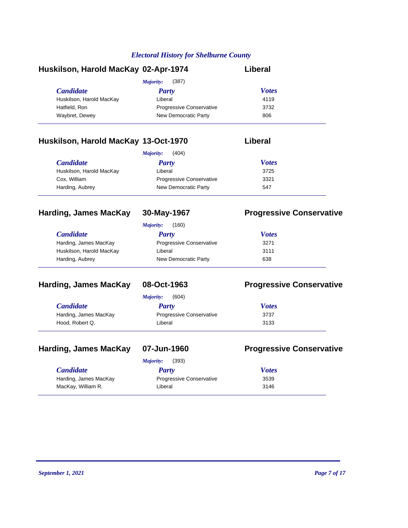| Huskilson, Harold MacKay 02-Apr-1974 |                                 | Liberal      |  |
|--------------------------------------|---------------------------------|--------------|--|
|                                      | (387)<br>Majority:              |              |  |
| <b>Candidate</b>                     | Party                           | <b>Votes</b> |  |
| Huskilson, Harold MacKay             | Liberal                         | 4119         |  |
| Hatfield, Ron                        | <b>Progressive Conservative</b> | 3732         |  |
| Waybret, Dewey                       | New Democratic Party            | 806          |  |
|                                      |                                 |              |  |

### **Huskilson, Harold MacKay 13-Oct-1970 Liberal**

| (404)<br>Majority:       |                                 |              |  |
|--------------------------|---------------------------------|--------------|--|
| <i>Candidate</i>         | Party                           | <b>Votes</b> |  |
| Huskilson, Harold MacKay | Liberal                         | 3725         |  |
| Cox, William             | <b>Progressive Conservative</b> | 3321         |  |
| Harding, Aubrey          | New Democratic Party            | 547          |  |

| <b>Harding, James MacKay</b> | 30-May-1967              | <b>Progressive Conservative</b> |
|------------------------------|--------------------------|---------------------------------|
|                              | (160)<br>Majority:       |                                 |
| <b>Candidate</b>             | Party                    | <b>Votes</b>                    |
| Harding, James MacKay        | Progressive Conservative | 3271                            |
| Huskilson, Harold MacKay     | Liberal                  | 3111                            |
| Harding, Aubrey              | New Democratic Party     | 638                             |

#### **Harding, James MacKay 08-Oct-1963 Progressive Conservative**

|                         | (604)<br>Majority:              |              |  |
|-------------------------|---------------------------------|--------------|--|
| <i><b>Candidate</b></i> | Party                           | <b>Votes</b> |  |
| Harding, James MacKay   | <b>Progressive Conservative</b> | 3737         |  |
| Hood, Robert Q.         | Liberal                         | 3133         |  |

### **Harding, James MacKay 07-Jun-1960 Progressive Conservative**

|                       | (393)<br>Majority:              |              |  |
|-----------------------|---------------------------------|--------------|--|
| <b>Candidate</b>      | Party                           | <b>Votes</b> |  |
| Harding, James MacKay | <b>Progressive Conservative</b> | 3539         |  |
| MacKay, William R.    | Liberal                         | 3146         |  |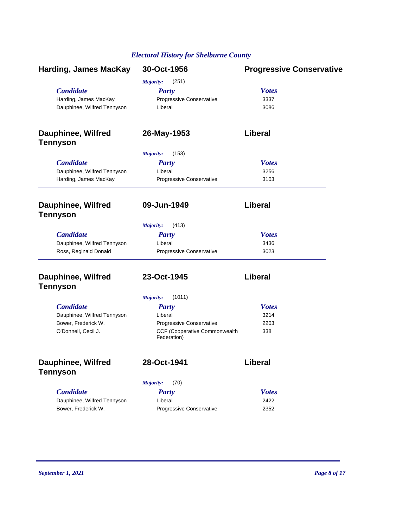| <b>Harding, James MacKay</b>                         | 30-Oct-1956                                  | <b>Progressive Conservative</b> |  |
|------------------------------------------------------|----------------------------------------------|---------------------------------|--|
|                                                      | Majority:<br>(251)                           |                                 |  |
| <b>Candidate</b><br>Harding, James MacKay            | <b>Party</b>                                 | <b>Votes</b>                    |  |
|                                                      | Progressive Conservative                     | 3337                            |  |
| Dauphinee, Wilfred Tennyson                          | Liberal                                      | 3086                            |  |
| <b>Dauphinee, Wilfred</b><br><b>Tennyson</b>         | 26-May-1953                                  | Liberal                         |  |
|                                                      | Majority:<br>(153)                           |                                 |  |
| <b>Candidate</b>                                     |                                              |                                 |  |
|                                                      | <b>Party</b><br>Liberal                      | <b>Votes</b><br>3256            |  |
| Dauphinee, Wilfred Tennyson<br>Harding, James MacKay | Progressive Conservative                     | 3103                            |  |
| <b>Dauphinee, Wilfred</b><br><b>Tennyson</b>         | 09-Jun-1949                                  | Liberal                         |  |
|                                                      | (413)<br><b>Majority:</b>                    |                                 |  |
| <b>Candidate</b>                                     | <b>Party</b>                                 | <b>Votes</b>                    |  |
| Dauphinee, Wilfred Tennyson                          | Liberal                                      | 3436                            |  |
| Ross, Reginald Donald                                | Progressive Conservative                     | 3023                            |  |
| <b>Dauphinee, Wilfred</b><br><b>Tennyson</b>         | 23-Oct-1945                                  | Liberal                         |  |
|                                                      | (1011)<br><b>Majority:</b>                   |                                 |  |
| <b>Candidate</b>                                     | <b>Party</b>                                 | <b>Votes</b>                    |  |
| Dauphinee, Wilfred Tennyson                          | Liberal                                      | 3214                            |  |
| Bower, Frederick W.                                  | Progressive Conservative                     | 2203                            |  |
| O'Donnell, Cecil J.                                  | CCF (Cooperative Commonwealth<br>Federation) | 338                             |  |
| Dauphinee, Wilfred<br><b>Tennyson</b>                | 28-Oct-1941                                  | Liberal                         |  |
|                                                      |                                              |                                 |  |
|                                                      | (70)<br>Majority:                            |                                 |  |
| <b>Candidate</b>                                     | <b>Party</b>                                 | <b>Votes</b>                    |  |
| Dauphinee, Wilfred Tennyson                          | Liberal                                      | 2422                            |  |
| Bower, Frederick W.                                  | Progressive Conservative                     | 2352                            |  |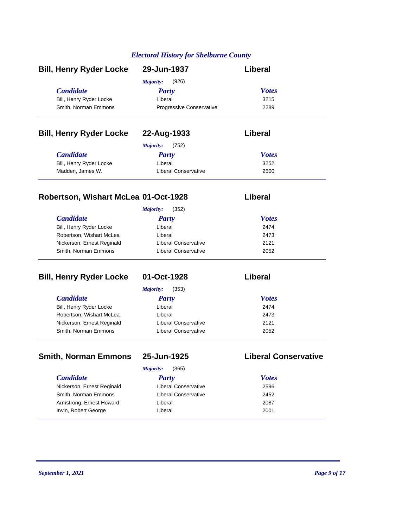| <b>Bill, Henry Ryder Locke</b> | 29-Jun-1937                     | Liberal      |
|--------------------------------|---------------------------------|--------------|
|                                | (926)<br>Majority:              |              |
| <b>Candidate</b>               | Party                           | <b>Votes</b> |
| Bill, Henry Ryder Locke        | Liberal                         | 3215         |
| Smith, Norman Emmons           | <b>Progressive Conservative</b> | 2289         |
| <b>Bill, Henry Ryder Locke</b> | 22-Aug-1933                     | Liberal      |
|                                | (752)<br>Majority:              |              |
| <b>Candidate</b>               | Party                           | <b>Votes</b> |
| Bill, Henry Ryder Locke        | Liberal                         | 3252         |
| Madden, James W.               | Liberal Conservative            | 2500         |

### **Robertson, Wishart McLea 01-Oct-1928 Liberal**

|                            | (352)<br>Majority:   |              |
|----------------------------|----------------------|--------------|
| <i>Candidate</i>           | <b>Party</b>         | <b>Votes</b> |
| Bill, Henry Ryder Locke    | Liberal              | 2474         |
| Robertson, Wishart McLea   | Liberal              | 2473         |
| Nickerson, Ernest Reginald | Liberal Conservative | 2121         |
| Smith, Norman Emmons       | Liberal Conservative | 2052         |

| <b>Bill, Henry Ryder Locke</b> | 01-Oct-1928          | Liberal      |
|--------------------------------|----------------------|--------------|
|                                | (353)<br>Majority:   |              |
| <i>Candidate</i>               | <b>Party</b>         | <b>Votes</b> |
| Bill, Henry Ryder Locke        | Liberal              | 2474         |
| Robertson, Wishart McLea       | Liberal              | 2473         |
| Nickerson, Ernest Reginald     | Liberal Conservative | 2121         |
| Smith, Norman Emmons           | Liberal Conservative | 2052         |

### **Smith, Norman Emmons 25-Jun-1925 Liberal Conservative**

*Majority:* (365)

*Candidate Party* Nickerson, Ernest Reginald Liberal Conservative Smith, Norman Emmons **Liberal Conservative** Armstrong, Ernest Howard **2087** Liberal Irwin, Robert George **Liberal** 

| <b>Votes</b> |
|--------------|
| 2596         |
| 2452         |
| 2087         |
| 2001         |
|              |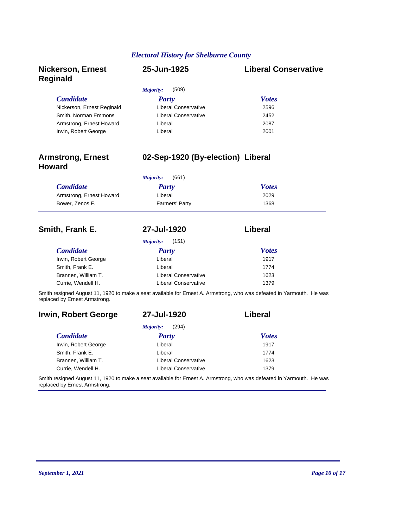| <b>Nickerson, Ernest</b><br><b>Reginald</b> | 25-Jun-1925          | <b>Liberal Conservative</b> |
|---------------------------------------------|----------------------|-----------------------------|
|                                             | (509)<br>Majority:   |                             |
| <b>Candidate</b>                            | Party                | <b>Votes</b>                |
| Nickerson, Ernest Reginald                  | Liberal Conservative | 2596                        |
| Smith, Norman Emmons                        | Liberal Conservative | 2452                        |
| Armstrong, Ernest Howard                    | Liberal              | 2087                        |
| Irwin, Robert George                        | Liberal              | 2001                        |

| <b>Armstrong, Ernest</b><br><b>Howard</b> | 02-Sep-1920 (By-election) Liberal |                                                                                                                       |  |
|-------------------------------------------|-----------------------------------|-----------------------------------------------------------------------------------------------------------------------|--|
|                                           | (661)<br>Majority:                |                                                                                                                       |  |
| <b>Candidate</b>                          | <b>Party</b>                      | <b>Votes</b>                                                                                                          |  |
| Armstrong, Ernest Howard                  | Liberal                           | 2029                                                                                                                  |  |
| Bower, Zenos F.                           | Farmers' Party                    | 1368                                                                                                                  |  |
| Smith, Frank E.                           | 27-Jul-1920                       | Liberal                                                                                                               |  |
|                                           | (151)<br>Majority:                |                                                                                                                       |  |
| <b>Candidate</b>                          | Party                             | <b>Votes</b>                                                                                                          |  |
| Irwin, Robert George                      | Liberal                           | 1917                                                                                                                  |  |
| Smith, Frank E.                           | Liberal                           | 1774                                                                                                                  |  |
| Brannen, William T.                       | <b>Liberal Conservative</b>       | 1623                                                                                                                  |  |
| Currie, Wendell H.                        | <b>Liberal Conservative</b>       | 1379                                                                                                                  |  |
| replaced by Ernest Armstrong.             |                                   | Smith resigned August 11, 1920 to make a seat available for Ernest A. Armstrong, who was defeated in Yarmouth. He was |  |
| Irwin, Robert George                      | 27-Jul-1920                       | Liberal                                                                                                               |  |
|                                           | (294)<br>Majority:                |                                                                                                                       |  |
| <b>Candidate</b>                          | Party                             | <b>Votes</b>                                                                                                          |  |
| Invin Pobort Coorgo                       | l iharal                          | 1017                                                                                                                  |  |

| Irwin, Robert George | Liberal              | 1917 |
|----------------------|----------------------|------|
| Smith, Frank E.      | Liberal              | 1774 |
| Brannen, William T.  | Liberal Conservative | 1623 |
| Currie, Wendell H.   | Liberal Conservative | 1379 |
|                      |                      |      |

Smith resigned August 11, 1920 to make a seat available for Ernest A. Armstrong, who was defeated in Yarmouth. He was replaced by Ernest Armstrong.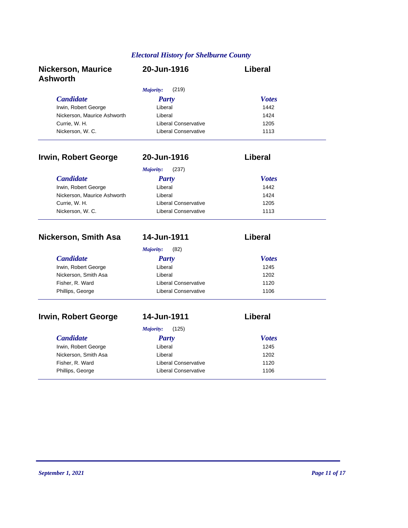| <b>Nickerson, Maurice</b><br><b>Ashworth</b> | 20-Jun-1916                 | <b>Liberal</b> |
|----------------------------------------------|-----------------------------|----------------|
|                                              | (219)<br>Majority:          |                |
| <b>Candidate</b>                             | <b>Party</b>                | <b>Votes</b>   |
| Irwin, Robert George                         | Liberal                     | 1442           |
| Nickerson, Maurice Ashworth                  | Liberal                     | 1424           |
| Currie, W. H.                                | <b>Liberal Conservative</b> | 1205           |
| Nickerson, W. C.                             | <b>Liberal Conservative</b> | 1113           |
| <b>Irwin, Robert George</b>                  | 20-Jun-1916                 | Liberal        |
|                                              | (237)<br>Majority:          |                |
| <b>Candidate</b>                             | <b>Party</b>                | <b>Votes</b>   |
| Irwin, Robert George                         | Liberal                     | 1442           |
| Nickerson, Maurice Ashworth                  | Liberal                     | 1424           |
| Currie, W. H.                                | <b>Liberal Conservative</b> | 1205           |
| Nickerson, W. C.                             | <b>Liberal Conservative</b> | 1113           |
| <b>Nickerson, Smith Asa</b>                  | 14-Jun-1911                 | <b>Liberal</b> |
|                                              | Majority:<br>(82)           |                |
| <b>Candidate</b>                             | <b>Party</b>                | <b>Votes</b>   |
| Irwin, Robert George                         | Liberal                     | 1245           |
| Nickerson, Smith Asa                         | Liberal                     | 1202           |
| Fisher, R. Ward                              | <b>Liberal Conservative</b> | 1120           |
| Phillips, George                             | <b>Liberal Conservative</b> | 1106           |
| <b>Irwin, Robert George</b>                  | 14-Jun-1911                 | <b>Liberal</b> |
|                                              | Majority:<br>(125)          |                |
| <b>Candidate</b>                             | <b>Party</b>                | <b>Votes</b>   |
| Irwin, Robert George                         | Liberal                     | 1245           |
| Nickerson, Smith Asa                         | Liberal                     | 1202           |
| Fisher, R. Ward                              | <b>Liberal Conservative</b> | 1120           |
|                                              |                             |                |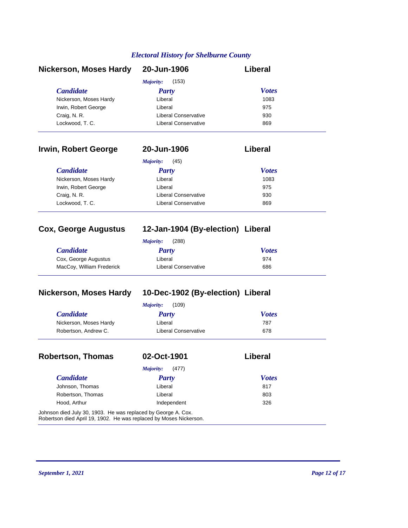| <b>Nickerson, Moses Hardy</b> | 20-Jun-1906          | Liberal      |
|-------------------------------|----------------------|--------------|
|                               | (153)<br>Majority:   |              |
| <b>Candidate</b>              | Party                | <b>Votes</b> |
| Nickerson, Moses Hardy        | Liberal              | 1083         |
| Irwin, Robert George          | Liberal              | 975          |
| Craig, N. R.                  | Liberal Conservative | 930          |
| Lockwood, T. C.               | Liberal Conservative | 869          |

| Irwin, Robert George   | 20-Jun-1906                 | Liberal      |  |
|------------------------|-----------------------------|--------------|--|
|                        | (45)<br>Majority:           |              |  |
| <b>Candidate</b>       | <b>Party</b>                | <b>Votes</b> |  |
| Nickerson, Moses Hardy | Liberal                     | 1083         |  |
| Irwin, Robert George   | Liberal                     | 975          |  |
| Craig, N. R.           | <b>Liberal Conservative</b> | 930          |  |
| Lockwood, T. C.        | Liberal Conservative        | 869          |  |

### **Cox, George Augustus 12-Jan-1904 (By-election) Liberal**

| (288)<br>Majority:        |                      |              |  |
|---------------------------|----------------------|--------------|--|
| <b>Candidate</b>          | Party                | <b>Votes</b> |  |
| Cox, George Augustus      | Liberal              | 974          |  |
| MacCoy, William Frederick | Liberal Conservative | 686          |  |

## **Nickerson, Moses Hardy 10-Dec-1902 (By-election) Liberal**

|                        | (109)<br>Majority:   |              |
|------------------------|----------------------|--------------|
| <b>Candidate</b>       | Party                | <b>Votes</b> |
| Nickerson, Moses Hardy | Liberal              | 787          |
| Robertson, Andrew C.   | Liberal Conservative | 678          |

| <b>Robertson, Thomas</b>                                                                                                            | 02-Oct-1901               | Liberal      |
|-------------------------------------------------------------------------------------------------------------------------------------|---------------------------|--------------|
|                                                                                                                                     | (477)<br><i>Majority:</i> |              |
| <b>Candidate</b>                                                                                                                    | <b>Party</b>              | <b>Votes</b> |
| Johnson, Thomas                                                                                                                     | Liberal                   | 817          |
| Robertson, Thomas                                                                                                                   | Liberal                   | 803          |
| Hood, Arthur                                                                                                                        | Independent               | 326          |
| Johnson died July 30, 1903. He was replaced by George A. Cox.<br>Robertson died April 19, 1902. He was replaced by Moses Nickerson. |                           |              |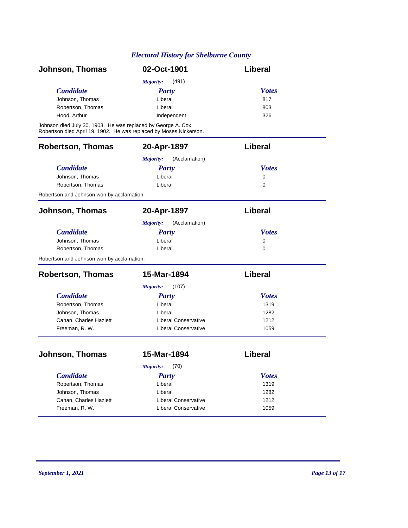| Johnson, Thomas                                                                                                                     | 02-Oct-1901                 | Liberal      |
|-------------------------------------------------------------------------------------------------------------------------------------|-----------------------------|--------------|
|                                                                                                                                     | (491)<br>Majority:          |              |
| <b>Candidate</b>                                                                                                                    | <b>Party</b>                | <b>Votes</b> |
| Johnson, Thomas                                                                                                                     | Liberal                     | 817          |
| Robertson, Thomas                                                                                                                   | Liberal                     | 803          |
| Hood, Arthur                                                                                                                        | Independent                 | 326          |
| Johnson died July 30, 1903. He was replaced by George A. Cox.<br>Robertson died April 19, 1902. He was replaced by Moses Nickerson. |                             |              |
| <b>Robertson, Thomas</b>                                                                                                            | 20-Apr-1897                 | Liberal      |
|                                                                                                                                     | (Acclamation)<br>Majority:  |              |
| <b>Candidate</b>                                                                                                                    | <b>Party</b>                | <b>Votes</b> |
| Johnson, Thomas                                                                                                                     | Liberal                     | 0            |
| Robertson, Thomas                                                                                                                   | Liberal                     | $\Omega$     |
| Robertson and Johnson won by acclamation.                                                                                           |                             |              |
| Johnson, Thomas                                                                                                                     | 20-Apr-1897                 | Liberal      |
|                                                                                                                                     | (Acclamation)<br>Majority:  |              |
| <b>Candidate</b>                                                                                                                    | <b>Party</b>                | <b>Votes</b> |
| Johnson, Thomas                                                                                                                     | Liberal                     | 0            |
| Robertson, Thomas                                                                                                                   | Liberal                     | $\Omega$     |
| Robertson and Johnson won by acclamation.                                                                                           |                             |              |
| <b>Robertson, Thomas</b>                                                                                                            | 15-Mar-1894                 | Liberal      |
|                                                                                                                                     | (107)<br><b>Majority:</b>   |              |
| <b>Candidate</b>                                                                                                                    | <b>Party</b>                | <b>Votes</b> |
| Robertson, Thomas                                                                                                                   | Liberal                     | 1319         |
| Johnson, Thomas                                                                                                                     | Liberal                     | 1282         |
| Cahan, Charles Hazlett                                                                                                              | <b>Liberal Conservative</b> | 1212         |
| Freeman, R. W.                                                                                                                      | <b>Liberal Conservative</b> | 1059         |
| Johnson, Thomas                                                                                                                     | 15-Mar-1894                 | Liberal      |
|                                                                                                                                     | (70)<br>Majority:           |              |
| <b>Candidate</b>                                                                                                                    | <b>Party</b>                | <b>Votes</b> |
| Robertson, Thomas                                                                                                                   | Liberal                     | 1319         |
| Johnson, Thomas                                                                                                                     | Liberal                     | 1282         |
| Cahan, Charles Hazlett                                                                                                              | <b>Liberal Conservative</b> | 1212         |
| Freeman, R. W.                                                                                                                      | <b>Liberal Conservative</b> | 1059         |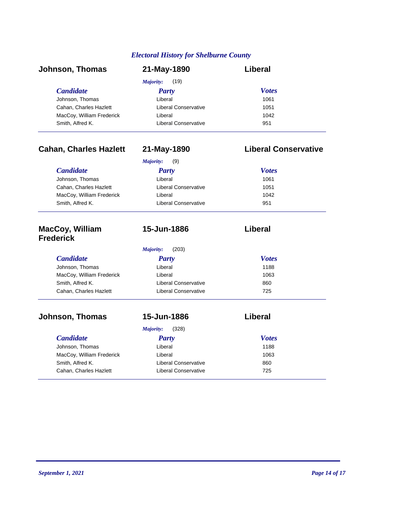| Johnson, Thomas           | 21-May-1890                 | Liberal      |
|---------------------------|-----------------------------|--------------|
|                           | (19)<br>Majority:           |              |
| <b>Candidate</b>          | <b>Party</b>                | <b>Votes</b> |
| Johnson, Thomas           | Liberal                     | 1061         |
| Cahan, Charles Hazlett    | Liberal Conservative        | 1051         |
| MacCoy, William Frederick | Liberal                     | 1042         |
| Smith, Alfred K.          | <b>Liberal Conservative</b> | 951          |

### **Cahan, Charles Hazlett 21-May-1890 Liberal Conservative**

| (9)<br>Majority:     |              |
|----------------------|--------------|
| <b>Party</b>         | <b>Votes</b> |
| Liberal              | 1061         |
| Liberal Conservative | 1051         |
| Liberal              | 1042         |
| Liberal Conservative | 951          |
|                      |              |

### **MacCoy, William Frederick**

| (203)<br>Majority:   |              |
|----------------------|--------------|
| <b>Party</b>         | <b>Votes</b> |
| Liberal              | 1188         |
| Liberal              | 1063         |
| Liberal Conservative | 860          |
| Liberal Conservative | 725          |
|                      |              |

**15-Jun-1886 Liberal**

### **Johnson, Thomas 15-Jun-1886 Liberal**

| (328)<br>Majority:          |              |  |
|-----------------------------|--------------|--|
| Party                       | <b>Votes</b> |  |
| Liberal                     | 1188         |  |
| Liberal                     | 1063         |  |
| <b>Liberal Conservative</b> | 860          |  |
| <b>Liberal Conservative</b> | 725          |  |
|                             |              |  |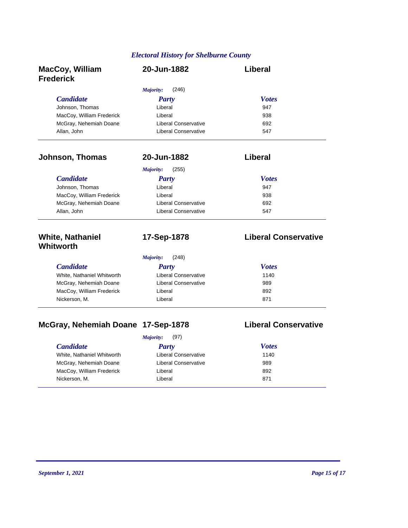| <b>MacCoy, William</b><br><b>Frederick</b> | 20-Jun-1882                 | Liberal                     |
|--------------------------------------------|-----------------------------|-----------------------------|
|                                            | (246)<br>Majority:          |                             |
| <b>Candidate</b>                           | <b>Party</b>                | <b>Votes</b>                |
| Johnson, Thomas                            | Liberal                     | 947                         |
| MacCoy, William Frederick                  | Liberal                     | 938                         |
| McGray, Nehemiah Doane                     | <b>Liberal Conservative</b> | 692                         |
| Allan, John                                | <b>Liberal Conservative</b> | 547                         |
| Johnson, Thomas                            | 20-Jun-1882                 | Liberal                     |
|                                            | (255)<br>Majority:          |                             |
| <b>Candidate</b>                           | <b>Party</b>                | <b>Votes</b>                |
| Johnson, Thomas                            | Liberal                     | 947                         |
| MacCoy, William Frederick                  | Liberal                     | 938                         |
| McGray, Nehemiah Doane                     | <b>Liberal Conservative</b> | 692                         |
| Allan, John                                | <b>Liberal Conservative</b> | 547                         |
| <b>White, Nathaniel</b><br>Whitworth       | 17-Sep-1878                 | <b>Liberal Conservative</b> |
|                                            | (248)<br>Majority:          |                             |
| <b>Candidate</b>                           | <b>Party</b>                | <b>Votes</b>                |
| White, Nathaniel Whitworth                 | <b>Liberal Conservative</b> | 1140                        |
| McGray, Nehemiah Doane                     | <b>Liberal Conservative</b> | 989                         |
| MacCoy, William Frederick                  | Liberal                     | 892                         |
| Nickerson, M.                              | Liberal                     | 871                         |

## **McGray, Nehemiah Doane 17-Sep-1878 Liberal Conservative**

|                            | (97)<br>Majority:           |              |
|----------------------------|-----------------------------|--------------|
| <i>Candidate</i>           | Party                       | <b>Votes</b> |
| White, Nathaniel Whitworth | <b>Liberal Conservative</b> | 1140         |
| McGray, Nehemiah Doane     | <b>Liberal Conservative</b> | 989          |
| MacCoy, William Frederick  | Liberal                     | 892          |
| Nickerson, M.              | Liberal                     | 871          |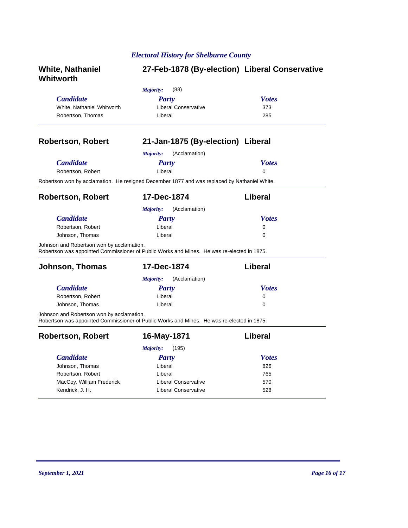| <b>White, Nathaniel</b><br>Whitworth      |                                                                                              | 27-Feb-1878 (By-election) Liberal Conservative |
|-------------------------------------------|----------------------------------------------------------------------------------------------|------------------------------------------------|
|                                           | Majority:<br>(88)                                                                            |                                                |
| <b>Candidate</b>                          | <b>Party</b>                                                                                 | <b>Votes</b>                                   |
| White, Nathaniel Whitworth                | <b>Liberal Conservative</b>                                                                  | 373                                            |
| Robertson, Thomas                         | Liberal                                                                                      | 285                                            |
| <b>Robertson, Robert</b>                  | 21-Jan-1875 (By-election) Liberal                                                            |                                                |
|                                           | Majority:<br>(Acclamation)                                                                   |                                                |
| <b>Candidate</b>                          | <b>Party</b>                                                                                 | <b>Votes</b>                                   |
| Robertson, Robert                         | Liberal                                                                                      | $\Omega$                                       |
|                                           | Robertson won by acclamation. He resigned December 1877 and was replaced by Nathaniel White. |                                                |
| <b>Robertson, Robert</b>                  | 17-Dec-1874                                                                                  | Liberal                                        |
|                                           | Majority:<br>(Acclamation)                                                                   |                                                |
| <b>Candidate</b>                          | <b>Party</b>                                                                                 | <b>Votes</b>                                   |
| Robertson, Robert                         | Liberal                                                                                      | 0                                              |
| Johnson, Thomas                           | Liberal                                                                                      | 0                                              |
| Johnson and Robertson won by acclamation. | Robertson was appointed Commissioner of Public Works and Mines. He was re-elected in 1875.   |                                                |
| Johnson, Thomas                           | 17-Dec-1874                                                                                  | Liberal                                        |
|                                           | (Acclamation)<br><i>Majority:</i>                                                            |                                                |
| <b>Candidate</b>                          | <b>Party</b>                                                                                 | <b>Votes</b>                                   |
| Robertson, Robert                         | Liberal                                                                                      | 0                                              |
| Johnson, Thomas                           | Liberal                                                                                      | 0                                              |
| Johnson and Robertson won by acclamation. | Robertson was appointed Commissioner of Public Works and Mines. He was re-elected in 1875.   |                                                |
| <b>Robertson, Robert</b>                  | 16-May-1871                                                                                  | Liberal                                        |
|                                           | (195)<br>Majority:                                                                           |                                                |
| <b>Candidate</b>                          | <b>Party</b>                                                                                 | <b>Votes</b>                                   |
| Johnson, Thomas                           | Liberal                                                                                      | 826                                            |
| Robertson, Robert                         | Liberal                                                                                      | 765                                            |
| MacCoy, William Frederick                 | <b>Liberal Conservative</b>                                                                  | 570                                            |
| Kendrick, J. H.                           | <b>Liberal Conservative</b>                                                                  | 528                                            |